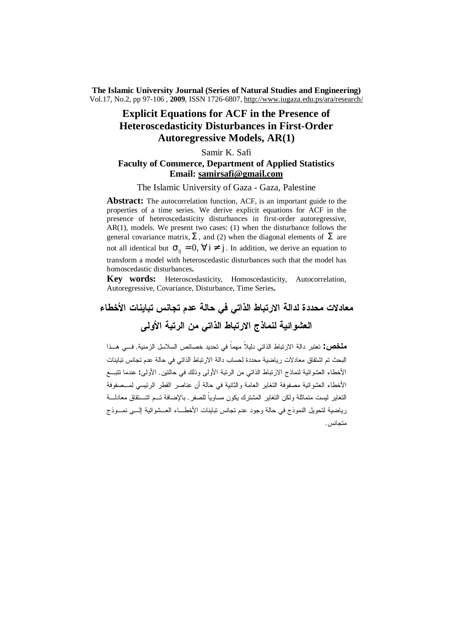**The Islamic University Journal (Series of Natural Studies and Engineering)** Vol.17, No.2, pp 97-106 , **2009**, ISSN 1726-6807, <http://www.iugaza.edu.ps/ara/research/>

# **Explicit Equations for ACF in the Presence of Heteroscedasticity Disturbances in First-Order Autoregressive Models, AR(1)**

# Samir K. Safi **Faculty of Commerce, Department of Applied Statistics Email: [samirsafi@gmail.com](mailto:samirsafi@gmail.com)**

The Islamic University of Gaza - Gaza, Palestine

Abstract: The autocorrelation function, ACF, is an important guide to the properties of a time series. We derive explicit equations for ACF in the presence of heteroscedasticity disturbances in first-order autoregressive, AR(1), models. We present two cases: (1) when the disturbance follows the general covariance matrix, **S** , and (2) when the diagonal elements of **S** are not all identical but  $\sigma_{ii} = 0$ ,  $\forall i \neq j$ . In addition, we derive an equation to transform a model with heteroscedastic disturbances such that the model has homoscedastic disturbances**.**

**Key words:** Heteroscedasticity, Homoscedasticity, Autocorrelation, Autoregressive, Covariance, Disturbance, Time Series**.**

**معادلات محددة لدالة الارتباط الذاتي في حالة عدم تجانس تباينات الأخطاء العشوائية لنماذج الارتباط الذاتي من الرتبة الأولى** 

**ملخص:** تعتبر دالة الارتباط الذاتي دليلاً مهماً في تحديد خصائص السلاسل الزمنية. فـي هـذا البحث تم اشتقاق معادلات رياضية محددة لحساب دالة الارتباط الذاتي في حالة عدم تجانس تباينات الأخطاء العشوائية لنماذج الارتباط الذاتي من الرتبة الأولى وذلك في حالتين. الأولى**:** عندما تتبـع الأخطاء العشوائية مصفوفة التغاير العامة والثانية في حالة أن عناصر القطر الرئيسي لمـصفوفة التغاير ليست متماثلة ولكن التغاير المشترك يكون مساوياً للصفر. بالإضافة تـم اشـتقاق معادلـة رياضية لتحويل النموذج في حالة وجود عدم تجانس تباينات الأخطـاء العـشوائية إلـى نمـوذج متجانس.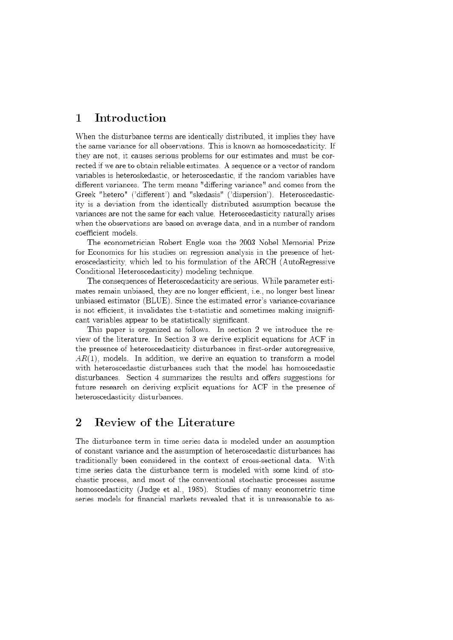# Introduction  $\mathbf{1}$

When the disturbance terms are identically distributed, it implies they have the same variance for all observations. This is known as homoscedasticity. If they are not, it causes serious problems for our estimates and must be corrected if we are to obtain reliable estimates. A sequence or a vector of random variables is heteroskedastic, or heteroscedastic, if the random variables have different variances. The term means "differing variance" and comes from the Greek "hetero" ('different') and "skedasis" ('dispersion'). Heteroscedasticity is a deviation from the identically distributed assumption because the variances are not the same for each value. Heteroscedasticity naturally arises when the observations are based on average data, and in a number of random coefficient models.

The econometrician Robert Engle won the 2003 Nobel Memorial Prize for Economics for his studies on regression analysis in the presence of heteroscedasticity, which led to his formulation of the ARCH (AutoRegressive Conditional Heteroscedasticity) modeling technique.

The consequences of Heteroscedasticity are serious. While parameter estimates remain unbiased, they are no longer efficient, i.e., no longer best linear unbiased estimator (BLUE). Since the estimated error's variance-covariance is not efficient, it invalidates the t-statistic and sometimes making insignificant variables appear to be statistically significant.

This paper is organized as follows. In section 2 we introduce the review of the literature. In Section 3 we derive explicit equations for ACF in the presence of heteroscedasticity disturbances in first-order autoregressive,  $AR(1)$ , models. In addition, we derive an equation to transform a model with heteroscedastic disturbances such that the model has homoscedastic disturbances. Section 4 summarizes the results and offers suggestions for future research on deriving explicit equations for ACF in the presence of heteroscedasticity disturbances.

## $\overline{2}$ Review of the Literature

The disturbance term in time series data is modeled under an assumption of constant variance and the assumption of heteroscedastic disturbances has traditionally been considered in the context of cross-sectional data. With time series data the disturbance term is modeled with some kind of stochastic process, and most of the conventional stochastic processes assume homoscedasticity (Judge et al., 1985). Studies of many econometric time series models for financial markets revealed that it is unreasonable to as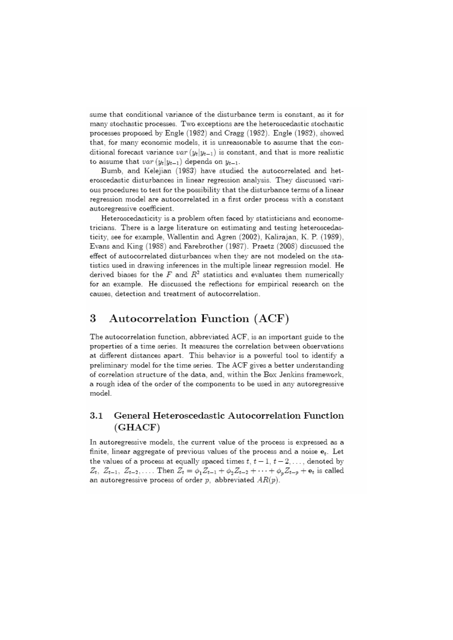sume that conditional variance of the disturbance term is constant, as it for many stochastic processes. Two exceptions are the heteroscedastic stochastic processes proposed by Engle (1982) and Cragg (1982). Engle (1982), showed that, for many economic models, it is unreasonable to assume that the conditional forecast variance  $var(y_t|y_{t-1})$  is constant, and that is more realistic to assume that  $var(y_t|y_{t-1})$  depends on  $y_{t-1}$ .

Bumb, and Kelejian (1983) have studied the autocorrelated and heteroscedastic disturbances in linear regression analysis. They discussed various procedures to test for the possibility that the disturbance terms of a linear regression model are autocorrelated in a first order process with a constant autoregressive coefficient.

Heteroscedasticity is a problem often faced by statisticians and econometricians. There is a large literature on estimating and testing heteroscedasticity, see for example, Wallentin and Agren (2002), Kalirajan, K. P. (1989), Evans and King (1988) and Farebrother (1987). Praetz (2008) discussed the effect of autocorrelated disturbances when they are not modeled on the statistics used in drawing inferences in the multiple linear regression model. He derived biases for the  $F$  and  $R^2$  statistics and evaluates them numerically for an example. He discussed the reflections for empirical research on the causes, detection and treatment of autocorrelation.

## 3 Autocorrelation Function (ACF)

The autocorrelation function, abbreviated ACF, is an important guide to the properties of a time series. It measures the correlation between observations at different distances apart. This behavior is a powerful tool to identify a preliminary model for the time series. The ACF gives a better understanding of correlation structure of the data, and, within the Box Jenkins framework, a rough idea of the order of the components to be used in any autoregressive model.

# $3.1$ General Heteroscedastic Autocorrelation Function  $(GHACF)$

In autoregressive models, the current value of the process is expressed as a finite, linear aggregate of previous values of the process and a noise  $e_t$ . Let the values of a process at equally spaced times  $t, t-1, t-2, \ldots$ , denoted by  $Z_t$ ,  $Z_{t-1}$ ,  $Z_{t-2}$ ,.... Then  $Z_t = \phi_1 Z_{t-1} + \phi_2 Z_{t-2} + \cdots + \phi_p Z_{t-p} + e_t$  is called an autoregressive process of order  $p$ , abbreviated  $AR(p)$ .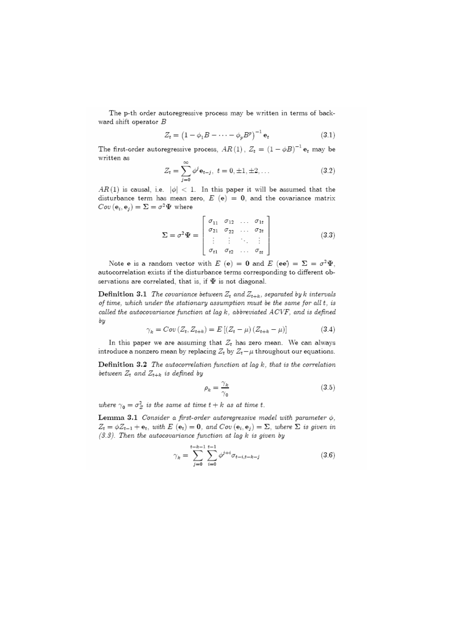The p-th order autoregressive process may be written in terms of backward shift operator  $B$ 

$$
Z_t = \left(1 - \phi_1 B - \dots - \phi_p B^p\right)^{-1} \mathbf{e}_t \tag{3.1}
$$

The first-order autoregressive process,  $AR(1)$ ,  $Z_t = (1 - \phi B)^{-1} e_t$  may be written as

$$
Z_t = \sum_{j=0}^{\infty} \phi^j \mathbf{e}_{t-j}, \ t = 0, \pm 1, \pm 2, \dots \tag{3.2}
$$

 $AR(1)$  is causal, i.e.  $|\phi| < 1$ . In this paper it will be assumed that the disturbance term has mean zero,  $E(e) = 0$ , and the covariance matrix  $Cov(e_i, e_j) = \Sigma = \sigma^2 \Psi$  where

$$
\Sigma = \sigma^2 \Psi = \begin{bmatrix} \sigma_{11} & \sigma_{12} & \dots & \sigma_{1t} \\ \sigma_{21} & \sigma_{22} & \dots & \sigma_{2t} \\ \vdots & \vdots & \ddots & \vdots \\ \sigma_{t1} & \sigma_{t2} & \dots & \sigma_{tt} \end{bmatrix}
$$
 (3.3)

Note e is a random vector with E (e) = 0 and E (ee) =  $\Sigma = \sigma^2 \Psi$ , autocorrelation exists if the disturbance terms corresponding to different observations are correlated, that is, if  $\Psi$  is not diagonal.

**Definition 3.1** The covariance between  $Z_t$  and  $Z_{t+k}$ , separated by k intervals of time, which under the stationary assumption must be the same for all t, is called the autocovariance function at lag k, abbreviated ACVF, and is defined bу

$$
\gamma_{k} = Cov(Z_{t}, Z_{t+k}) = E[(Z_{t} - \mu)(Z_{t+k} - \mu)] \tag{3.4}
$$

In this paper we are assuming that  $Z_t$  has zero mean. We can always introduce a nonzero mean by replacing  $Z_t$  by  $Z_t - \mu$  throughout our equations.

Definition 3.2 The autocorrelation function at lag  $k$ , that is the correlation between  $Z_t$  and  $Z_{t+k}$  is defined by

$$
\rho_k = \frac{\gamma_k}{\gamma_0} \tag{3.5}
$$

where  $\gamma_0 = \sigma_Z^2$  is the same at time  $t + k$  as at time t.

Lemma 3.1 Consider a first-order autoregressive model with parameter  $\phi$ ,  $Z_t = \phi Z_{t-1} + \mathbf{e}_t$ , with  $E(\mathbf{e}_t) = \mathbf{0}$ , and  $Cov(\mathbf{e}_i, \mathbf{e}_j) = \Sigma$ , where  $\Sigma$  is given in  $(3.3)$ . Then the autocovariance function at lag  $k$  is given by

$$
\gamma_k = \sum_{j=0}^{t-k-1} \sum_{i=0}^{t-1} \phi^{j+i} \sigma_{t-i,t-k-j} \tag{3.6}
$$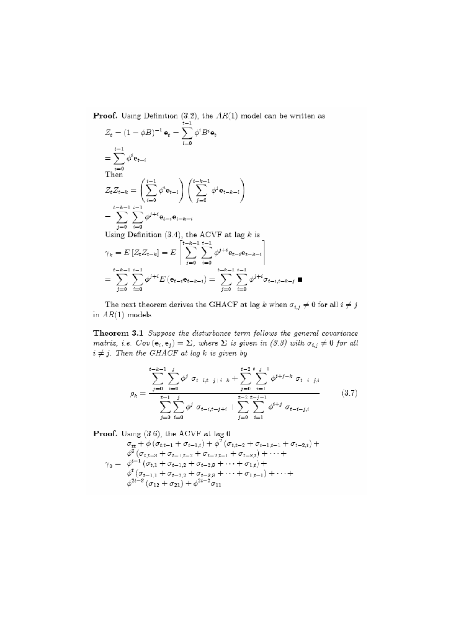**Proof.** Using Definition  $(3.2)$ , the  $AR(1)$  model can be written as

$$
Z_{t} = (1 - \phi B)^{-1} e_{t} = \sum_{i=0}^{t-1} \phi^{i} B^{i} e_{t}
$$
  
\n
$$
= \sum_{i=0}^{t-1} \phi^{i} e_{t-i}
$$
  
\nThen  
\n
$$
Z_{t} Z_{t-k} = \left(\sum_{i=0}^{t-1} \phi^{i} e_{t-i}\right) \left(\sum_{j=0}^{t-k-1} \phi^{j} e_{t-k-j}\right)
$$
  
\n
$$
= \sum_{j=0}^{t-k-1} \sum_{i=0}^{t-1} \phi^{j+i} e_{t-i} e_{t-k-i}
$$
  
\nUsing Definition (3.4), the ACVF at lag k is  
\n
$$
\gamma_{k} = E\left[Z_{t} Z_{t-k}\right] = E\left[\sum_{j=0}^{t-k-1} \sum_{i=0}^{t-1} \phi^{j+i} e_{t-i} e_{t-k-i}\right]
$$
  
\n
$$
= \sum_{j=0}^{t-k-1} \sum_{i=0}^{t-1} \phi^{j+i} E\left(e_{t-i} e_{t-k-i}\right) = \sum_{j=0}^{t-k-1} \sum_{i=0}^{t-1} \phi^{j+i} \sigma_{t-i,t-k-j}
$$

The next theorem derives the GHACF at lag  $k$  when  $\sigma_{i,j}\neq 0$  for all  $i\neq j$ in  $AR(1)$  models.

Theorem 3.1 Suppose the disturbance term follows the general covariance matrix, i.e.  $Cov(e_i, e_j) = \Sigma$ , where  $\Sigma$  is given in (3.3) with  $\sigma_{i,j} \neq 0$  for all  $i\neq j.$  Then the GHACF at lag  $k$  is given by

$$
\rho_k = \frac{\sum_{j=0}^{t-k-1} \sum_{i=0}^j \phi^j \sigma_{t-i,t-j+i-k} + \sum_{j=0}^{t-2} \sum_{i=1}^{t-j-1} \phi^{t+j-k} \sigma_{t-i-j,i}}{\sum_{j=0}^{t-1} \sum_{i=0}^j \phi^j \sigma_{t-i,t-j+i} + \sum_{j=0}^{t-2} \sum_{i=1}^{t-j-1} \phi^{i+j} \sigma_{t-i-j,i}}
$$
(3.7)

 $\blacksquare$ 

Proof. Using (3.6), the ACVF at lag 0

$$
\sigma_{tt} + \phi \left( \sigma_{t,t-1} + \sigma_{t-1,t} \right) + \phi^2 \left( \sigma_{t,t-2} + \sigma_{t-1,t-1} + \sigma_{t-2,t} \right) +
$$
\n
$$
\phi^3 \left( \sigma_{t,t-3} + \sigma_{t-1,t-2} + \sigma_{t-2,t-1} + \sigma_{t-3,t} \right) + \cdots +
$$
\n
$$
\gamma_0 = \phi^{t-1} \left( \sigma_{t,1} + \sigma_{t-1,2} + \sigma_{t-2,3} + \cdots + \sigma_{1,t} \right) +
$$
\n
$$
\phi^t \left( \sigma_{t-1,1} + \sigma_{t-2,2} + \sigma_{t-3,3} + \cdots + \sigma_{1,t-1} \right) + \cdots +
$$
\n
$$
\phi^{2t-3} \left( \sigma_{12} + \sigma_{21} \right) + \phi^{2t-2} \sigma_{11}
$$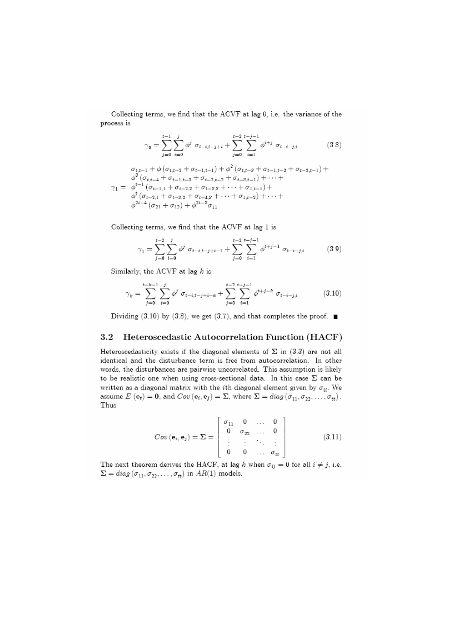Collecting terms, we find that the ACVF at lag 0, i.e. the variance of the process is

$$
\gamma_0 = \sum_{j=0}^{t-1} \sum_{i=0}^j \phi^j \ \sigma_{t-i,t-j+i} + \sum_{j=0}^{t-2} \sum_{i=1}^{t-j-1} \phi^{i+j} \ \sigma_{t-i-j,i} \tag{3.8}
$$

 $\begin{array}{c} \sigma_{t,t-1}+\phi\left(\sigma_{t,t-2}+\sigma_{t-1,t-1}\right)+\phi^2\left(\sigma_{t,t-3}+\sigma_{t-1,t-2}+\sigma_{t-2,t-1}\right)+\\ \phi^3\left(\sigma_{t,t-4}+\sigma_{t-1,t-3}+\sigma_{t-2,t-2}+\sigma_{t-3,t-1}\right)+\cdots+\\ \gamma_1=\begin{array}{c} \phi^{t-1}\left(\sigma_{t-1,1}+\sigma_{t-2,2}+\sigma_{t-3,3}+\cdots+\sigma_{1,t-1}\right)+\\ \phi^t\left(\sigma_{t-2,1}+\sigma_{t-3,2}+\sigma_{t-4,3}$ 

Collecting terms, we find that the ACVF at lag 1 is

$$
\gamma_1 = \sum_{j=0}^{t-2} \sum_{i=0}^j \phi^j \ \sigma_{t-i,t-j+i-1} + \sum_{j=0}^{t-2} \sum_{i=1}^{t-j-1} \phi^{t+j-1} \ \sigma_{t-i-j,i} \tag{3.9}
$$

Similarly, the ACVF at lag  $k$  is

$$
\gamma_k = \sum_{j=0}^{t-k-1} \sum_{i=0}^j \phi^j \ \sigma_{t-i, t-j+i-k} + \sum_{j=0}^{t-2} \sum_{i=1}^{t-j-1} \phi^{t+j-k} \ \sigma_{t-i-j,i} \tag{3.10}
$$

Dividing (3.10) by (3.8), we get (3.7), and that completes the proof.  $\blacksquare$ 

#### $3.2$ Heteroscedastic Autocorrelation Function (HACF)

Heteroscedasticity exists if the diagonal elements of  $\Sigma$  in (3.3) are not all identical and the disturbance term is free from autocorrelation. In other words, the disturbances are pairwise uncorrelated. This assumption is likely to be realistic one when using cross-sectional data. In this case  $\Sigma$  can be written as a diagonal matrix with the *i*th diagonal element given by  $\sigma_{ii}$ . We assume  $E(e_t) = 0$ , and  $Cov(e_i, e_j) = \Sigma$ , where  $\Sigma = diag(\sigma_{11}, \sigma_{22}, \ldots, \sigma_{tt})$ . Thus

$$
Cov(\mathbf{e}_i, \mathbf{e}_j) = \Sigma = \begin{bmatrix} \sigma_{11} & 0 & \dots & 0 \\ 0 & \sigma_{22} & \dots & 0 \\ \vdots & \vdots & \ddots & \vdots \\ 0 & 0 & \dots & \sigma_{tt} \end{bmatrix}
$$
(3.11)

The next theorem derives the HACF, at lag k when  $\sigma_{ij} = 0$  for all  $i \neq j$ , i.e.  $\Sigma = diag(\sigma_{11}, \sigma_{22}, \ldots, \sigma_{tt})$  in  $AR(1)$  models.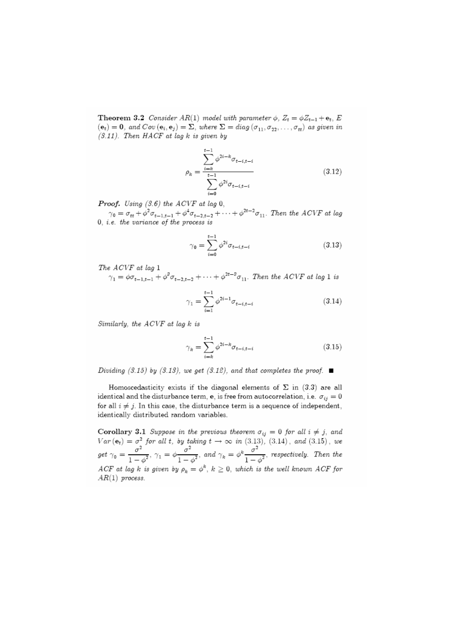**Theorem 3.2** Consider AR(1) model with parameter  $\phi$ ,  $Z_t = \phi Z_{t-1} + \mathbf{e}_t$ , E  $(e_t) = 0$ , and  $Cov(e_i, e_j) = \Sigma$ , where  $\Sigma = diag(\sigma_{11}, \sigma_{22}, \ldots, \sigma_{tt})$  as given in  $(3.11)$ . Then HACF at lag k is given by

$$
\rho_k = \frac{\sum_{i=k}^{t-1} \phi^{2i-k} \sigma_{t-i,t-i}}{\sum_{i=0}^{t-1} \phi^{2i} \sigma_{t-i,t-i}}
$$
(3.12)

**Proof.** Using  $(3.6)$  the ACVF at lag 0,

 $\gamma_0 = \sigma_{tt} + \phi^2 \sigma_{t-1,t-1} + \phi^4 \sigma_{t-2,t-2} + \cdots + \phi^{2t-2} \sigma_{11}$ . Then the ACVF at lag 0, *i.e. the variance of the process is* 

$$
\gamma_0 = \sum_{i=0}^{t-1} \phi^{2i} \sigma_{t-i, t-i} \tag{3.13}
$$

The ACVF at lag 1

 $\gamma_1 = \phi \sigma_{t-1,t-1} + \phi^3 \sigma_{t-2,t-2} + \cdots + \phi^{2t-3} \sigma_{11}$ . Then the ACVF at lag 1 is

$$
\gamma_1 = \sum_{i=1}^{t-1} \phi^{2i-1} \sigma_{t-i, t-i} \tag{3.14}
$$

Similarly, the ACVF at lag k is

$$
\gamma_k = \sum_{i=k}^{t-1} \phi^{2i-k} \sigma_{t-i, t-i}
$$
\n(3.15)

Dividing (3.15) by (3.13), we get (3.12), and that completes the proof.  $\blacksquare$ 

Homoscedasticity exists if the diagonal elements of  $\Sigma$  in (3.3) are all identical and the disturbance term, e, is free from autocorrelation, i.e.  $\sigma_{ij} = 0$ for all  $i \neq j$ . In this case, the disturbance term is a sequence of independent, identically distributed random variables.

**Corollary 3.1** Suppose in the previous theorem  $\sigma_{ij} = 0$  for all  $i \neq j$ , and Var(e<sub>t</sub>) =  $\sigma^2$  for all t, by taking  $t \to \infty$  in (3.13), (3.14), and (3.15), we<br>get  $\gamma_0 = \frac{\sigma^2}{1-\phi^2}$ ,  $\gamma_1 = \phi \frac{\sigma^2}{1-\phi^2}$ , and  $\gamma_k = \phi^k \frac{\sigma^2}{1-\phi^2}$ , respectively. Then the ACF at lag k is given by  $\rho_k = \phi^k$ ,  $k \geq 0$ , which is the well known ACF for  $AR(1)$  process.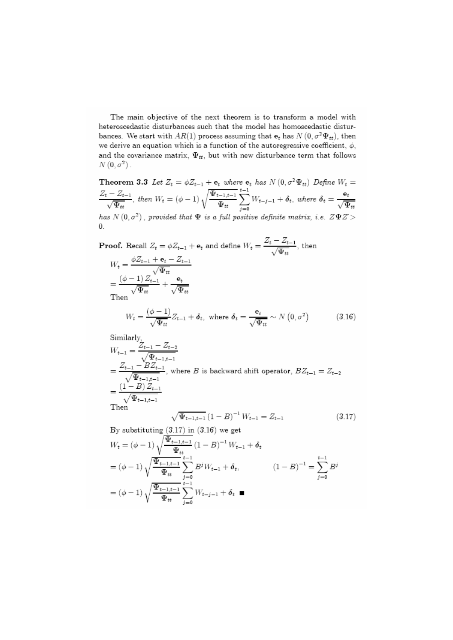The main objective of the next theorem is to transform a model with heteroscedastic disturbances such that the model has homoscedastic disturbances. We start with  $AR(1)$  process assuming that  $e_t$  has  $N(0, \sigma^2 \Psi_{tt})$ , then we derive an equation which is a function of the autoregressive coefficient,  $\phi$ , and the covariance matrix,  $\Psi_{tt}$ , but with new disturbance term that follows  $N(0, \sigma^2)$ .

**Theorem 3.3** Let 
$$
Z_t = \phi Z_{t-1} + \mathbf{e}_t
$$
 where  $\mathbf{e}_t$  has  $N(0, \sigma^2 \Psi_{tt})$  Define  $W_t = \frac{Z_t - Z_{t-1}}{\sqrt{\Psi_{tt}}}$ , then  $W_t = (\phi - 1) \sqrt{\frac{\Psi_{t-1,t-1}}{\Psi_{tt}}} \sum_{j=0}^{t-1} W_{t-j-1} + \delta_t$ , where  $\delta_t = \frac{\mathbf{e}_t}{\sqrt{\Psi_{tt}}}$  has  $N(0, \sigma^2)$ , provided that  $\Psi$  is a full positive definite matrix, i.e.  $Z\Psi Z > 0$ 

**Proof.** Recall  $Z_t = \phi Z_{t-1} + \mathbf{e}_t$  and define  $W_t = \frac{Z_t - Z_{t-1}}{\sqrt{\Psi_{tt}}}$ , then  $W_t = \frac{\phi Z_{t-1} + \mathbf{e}_t - Z_{t-1}}{\sqrt{\Psi_{tt}}}$  $=\frac{\left(\phi-1\right)Z_{t-1}}{\sqrt{\Psi_{tt}}}\!+\!\frac{\mathbf{e}_{t}}{\sqrt{\Psi_{tt}}}$  Then  $W_t = \frac{(\phi - 1)}{\sqrt{\Psi_{tt}}} Z_{t-1} + \delta_t, \text{ where } \delta_t = \frac{\mathbf{e}_t}{\sqrt{\Psi_{tt}}} \sim N\left(0, \sigma^2\right)$  $(3.16)$ Similarly<sub>2</sub>

$$
W_{t-1} = \frac{Z_{t-1} - Z_{t-2}}{\sqrt{\Psi_{t-1,t-1}}}
$$
  
=  $\frac{Z_{t-1} - BZ_{t-1}}{\sqrt{\Psi_{t-1,t-1}}}$ , where *B* is backward shift operator,  $BZ_{t-1} = Z_{t-2}$   
=  $\frac{(1 - B)Z_{t-1}}{\sqrt{\Psi_{t-1,t-1}}}$   
Then  $\sqrt{\Psi_{t-1,t-1}} (1 - B)^{-1} W_{t-1} = Z_{t-1}$  (3.17)

By substituting  $(3.17)$  in  $(3.16)$  we get  $W_t = \left(\phi-1\right) \sqrt{\frac{\Psi_{t-1,t-1}}{\Psi_{tt}}} \left(1-B\right)^{-1} W_{t-1} + \delta_t$  $= (\phi - 1) \sqrt{\frac{\Psi_{t-1,t-1}}{\Psi_{tt}}} \sum_{i=0}^{t-1} B^j W_{t-1} + \delta_t, \qquad (1-B)^{-1} = \sum_{i=0}^{t-1} B^j$  $= (\phi - 1) \sqrt{\frac{\Psi_{t-1,t-1}}{\Psi_{tt}}} \sum_{i=0}^{t-1} W_{t-j-1} + \delta_t$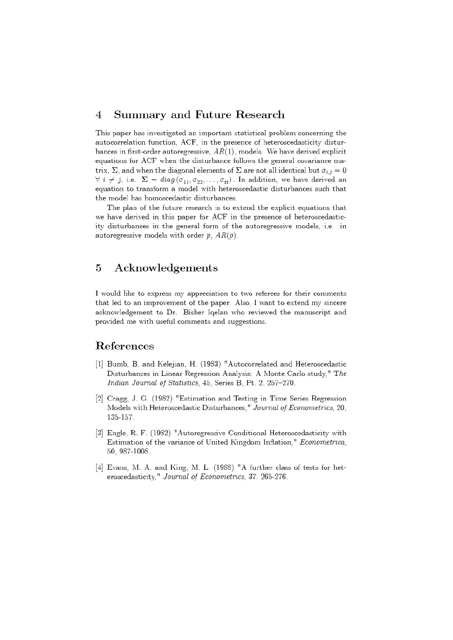### $\overline{4}$ Summary and Future Research

This paper has investigated an important statistical problem concerning the autocorrelation function, ACF, in the presence of heteroscedasticity disturbances in first-order autoregressive,  $AR(1)$ , models. We have derived explicit equations for ACF when the disturbance follows the general covariance matrix,  $\Sigma$ , and when the diagonal elements of  $\Sigma$  are not all identical but  $\sigma_{i,j}=0$  $\forall i \neq j$ , i.e.  $\Sigma = diag(\sigma_{11}, \sigma_{22}, \ldots, \sigma_{tt})$ . In addition, we have derived an equation to transform a model with heteroscedastic disturbances such that the model has homoscedastic disturbances.

The plan of the future research is to extend the explicit equations that we have derived in this paper for ACF in the presence of heteroscedasticity disturbances in the general form of the autoregressive models, i.e. in autoregressive models with order  $p$ ,  $AR(p)$ .

### 5 Acknowledgements

I would like to express my appreciation to two referees for their comments that led to an improvement of the paper. Also, I want to extend my sincere acknowledgement to Dr. Bisher Iqelan who reviewed the manuscript and provided me with useful comments and suggestions.

# References

- [1] Bumb, B. and Kelejian, H. (1983) "Autocorrelated and Heteroscedastic Disturbances in Linear Regression Analysis: A Monte Carlo study," The Indian Journal of Statistics, 45, Series B, Pt. 2, 257-270.
- [2] Cragg, J. G. (1982) "Estimation and Testing in Time Series Regression Models with Heteroscedastic Disturbances," Journal of Econometrics, 20, 135-157.
- [3] Engle, R. F. (1982) "Autoregressive Conditional Heteroscedasticity with Estimation of the variance of United Kingdom Inflation," Econometrica, 50.987-1008.
- [4] Evans, M. A. and King, M. L. (1988) "A further class of tests for heteroscedasticity," Journal of Econometrics, 37, 265-276.